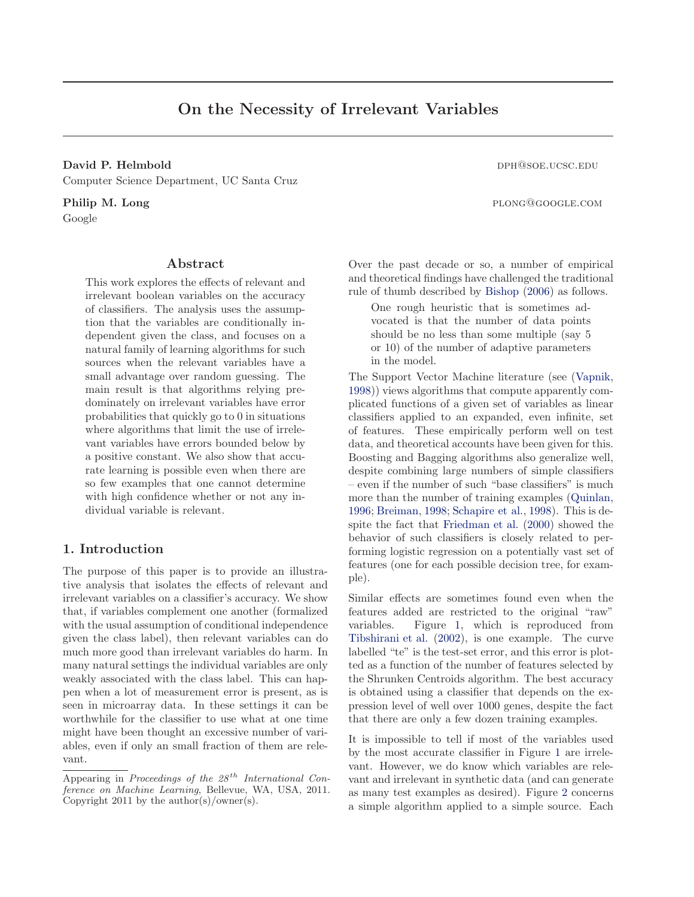# On the Necessity of Irrelevant Variables

David P. Helmbold dph and the contract of the contract of the contract of the contract of the contract of the contract of the contract of the contract of the contract of the contract of the contract of the contract of the Computer Science Department, UC Santa Cruz

Google

# Abstract

This work explores the effects of relevant and irrelevant boolean variables on the accuracy of classifiers. The analysis uses the assumption that the variables are conditionally independent given the class, and focuses on a natural family of learning algorithms for such sources when the relevant variables have a small advantage over random guessing. The main result is that algorithms relying predominately on irrelevant variables have error probabilities that quickly go to 0 in situations where algorithms that limit the use of irrelevant variables have errors bounded below by a positive constant. We also show that accurate learning is possible even when there are so few examples that one cannot determine with high confidence whether or not any individual variable is relevant.

# 1. Introduction

The purpose of this paper is to provide an illustrative analysis that isolates the effects of relevant and irrelevant variables on a classifier's accuracy. We show that, if variables complement one another (formalized with the usual assumption of conditional independence given the class label), then relevant variables can do much more good than irrelevant variables do harm. In many natural settings the individual variables are only weakly associated with the class label. This can happen when a lot of measurement error is present, as is seen in microarray data. In these settings it can be worthwhile for the classifier to use what at one time might have been thought an excessive number of variables, even if only an small fraction of them are relevant.

Philip M. Long plong@google.com

Over the past decade or so, a number of empirical and theoretical findings have challenged the traditional rule of thumb described by [Bishop](#page-6-0) [\(2006](#page-6-0)) as follows.

One rough heuristic that is sometimes advocated is that the number of data points should be no less than some multiple (say 5 or 10) of the number of adaptive parameters in the model.

The Support Vector Machine literature (see [\(Vapnik,](#page-7-0) [1998](#page-7-0))) views algorithms that compute apparently complicated functions of a given set of variables as linear classifiers applied to an expanded, even infinite, set of features. These empirically perform well on test data, and theoretical accounts have been given for this. Boosting and Bagging algorithms also generalize well, despite combining large numbers of simple classifiers – even if the number of such "base classifiers" is much more than the number of training examples [\(Quinlan,](#page-7-0) [1996](#page-7-0); [Breiman](#page-6-0), [1998](#page-6-0); [Schapire et al.,](#page-7-0) [1998\)](#page-7-0). This is despite the fact that [Friedman et al.](#page-6-0) [\(2000](#page-6-0)) showed the behavior of such classifiers is closely related to performing logistic regression on a potentially vast set of features (one for each possible decision tree, for example).

Similar effects are sometimes found even when the features added are restricted to the original "raw" variables. Figure [1,](#page-1-0) which is reproduced from [Tibshirani et al.](#page-7-0) [\(2002](#page-7-0)), is one example. The curve labelled "te" is the test-set error, and this error is plotted as a function of the number of features selected by the Shrunken Centroids algorithm. The best accuracy is obtained using a classifier that depends on the expression level of well over 1000 genes, despite the fact that there are only a few dozen training examples.

It is impossible to tell if most of the variables used by the most accurate classifier in Figure [1](#page-1-0) are irrelevant. However, we do know which variables are relevant and irrelevant in synthetic data (and can generate as many test examples as desired). Figure [2](#page-1-0) concerns a simple algorithm applied to a simple source. Each

Appearing in Proceedings of the  $28<sup>th</sup>$  International Conference on Machine Learning, Bellevue, WA, USA, 2011. Copyright 2011 by the author(s)/owner(s).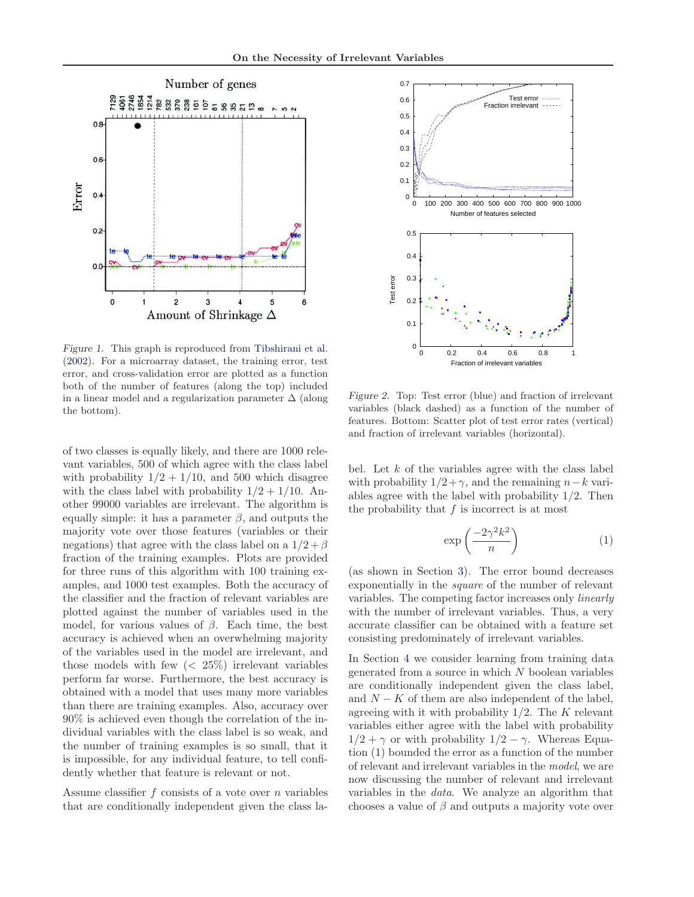<span id="page-1-0"></span>

Figure 1. This graph is reproduced from [Tibshirani et al.](#page-7-0) [\(2002](#page-7-0)). For a microarray dataset, the training error, test error, and cross-validation error are plotted as a function both of the number of features (along the top) included in a linear model and a regularization parameter  $\Delta$  (along the bottom).

of two classes is equally likely, and there are 1000 relevant variables, 500 of which agree with the class label with probability  $1/2 + 1/10$ , and 500 which disagree with the class label with probability  $1/2 + 1/10$ . Another 99000 variables are irrelevant. The algorithm is equally simple: it has a parameter  $\beta$ , and outputs the majority vote over those features (variables or their negations) that agree with the class label on a  $1/2 + \beta$ fraction of the training examples. Plots are provided for three runs of this algorithm with 100 training examples, and 1000 test examples. Both the accuracy of the classifier and the fraction of relevant variables are plotted against the number of variables used in the model, for various values of  $\beta$ . Each time, the best accuracy is achieved when an overwhelming majority of the variables used in the model are irrelevant, and those models with few  $\left($  < 25% $\right)$  irrelevant variables perform far worse. Furthermore, the best accuracy is obtained with a model that uses many more variables than there are training examples. Also, accuracy over 90% is achieved even though the correlation of the individual variables with the class label is so weak, and the number of training examples is so small, that it is impossible, for any individual feature, to tell confidently whether that feature is relevant or not.

Assume classifier  $f$  consists of a vote over  $n$  variables that are conditionally independent given the class la-



Figure 2. Top: Test error (blue) and fraction of irrelevant variables (black dashed) as a function of the number of features. Bottom: Scatter plot of test error rates (vertical) and fraction of irrelevant variables (horizontal).

bel. Let  $k$  of the variables agree with the class label with probability  $1/2 + \gamma$ , and the remaining  $n-k$  variables agree with the label with probability 1/2. Then the probability that  $f$  is incorrect is at most

$$
\exp\left(\frac{-2\gamma^2 k^2}{n}\right) \tag{1}
$$

(as shown in Section [3\)](#page-3-0). The error bound decreases exponentially in the *square* of the number of relevant variables. The competing factor increases only *linearly* with the number of irrelevant variables. Thus, a very accurate classifier can be obtained with a feature set consisting predominately of irrelevant variables.

In Section [4](#page-4-0) we consider learning from training data generated from a source in which  $N$  boolean variables are conditionally independent given the class label, and  $N - K$  of them are also independent of the label, agreeing with it with probability  $1/2$ . The K relevant variables either agree with the label with probability  $1/2 + \gamma$  or with probability  $1/2 - \gamma$ . Whereas Equation (1) bounded the error as a function of the number of relevant and irrelevant variables in the *model*, we are now discussing the number of relevant and irrelevant variables in the *data*. We analyze an algorithm that chooses a value of  $\beta$  and outputs a majority vote over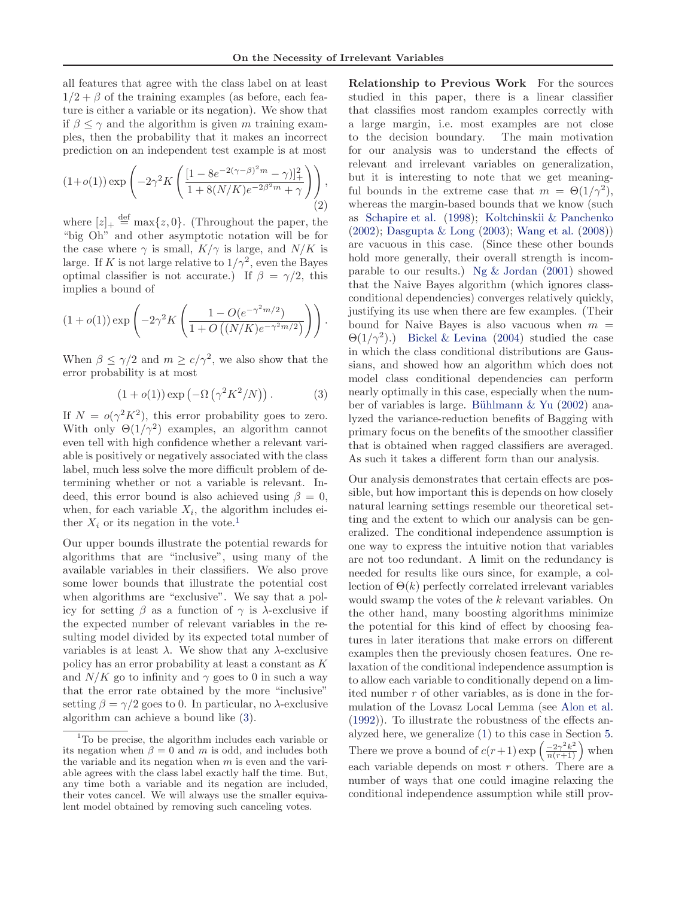all features that agree with the class label on at least  $1/2 + \beta$  of the training examples (as before, each feature is either a variable or its negation). We show that if  $\beta \leq \gamma$  and the algorithm is given m training examples, then the probability that it makes an incorrect prediction on an independent test example is at most

$$
(1+o(1)) \exp\left(-2\gamma^2 K \left(\frac{[1-8e^{-2(\gamma-\beta)^2 m}-\gamma)]_+^2}{1+8(N/K)e^{-2\beta^2 m}+\gamma}\right)\right),\tag{2}
$$

where  $[z]_+ \stackrel{\text{def}}{=} \max\{z, 0\}$ . (Throughout the paper, the "big Oh" and other asymptotic notation will be for the case where  $\gamma$  is small,  $K/\gamma$  is large, and  $N/K$  is large. If K is not large relative to  $1/\gamma^2$ , even the Bayes optimal classifier is not accurate.) If  $\beta = \gamma/2$ , this implies a bound of

$$
(1+o(1)) \exp \left(-2\gamma^2 K \left(\frac{1-O(e^{-\gamma^2 m/2})}{1+O((N/K)e^{-\gamma^2 m/2})}\right)\right).
$$

When  $\beta \leq \gamma/2$  and  $m \geq c/\gamma^2$ , we also show that the error probability is at most

$$
(1 + o(1)) \exp\left(-\Omega\left(\gamma^2 K^2/N\right)\right). \tag{3}
$$

If  $N = o(\gamma^2 K^2)$ , this error probability goes to zero. With only  $\Theta(1/\gamma^2)$  examples, an algorithm cannot even tell with high confidence whether a relevant variable is positively or negatively associated with the class label, much less solve the more difficult problem of determining whether or not a variable is relevant. Indeed, this error bound is also achieved using  $\beta = 0$ , when, for each variable  $X_i$ , the algorithm includes either  $X_i$  or its negation in the vote.<sup>1</sup>

Our upper bounds illustrate the potential rewards for algorithms that are "inclusive", using many of the available variables in their classifiers. We also prove some lower bounds that illustrate the potential cost when algorithms are "exclusive". We say that a policy for setting β as a function of γ is λ-exclusive if the expected number of relevant variables in the resulting model divided by its expected total number of variables is at least  $\lambda$ . We show that any  $\lambda$ -exclusive policy has an error probability at least a constant as K and  $N/K$  go to infinity and  $\gamma$  goes to 0 in such a way that the error rate obtained by the more "inclusive" setting  $\beta = \gamma/2$  goes to 0. In particular, no  $\lambda$ -exclusive algorithm can achieve a bound like (3).

Relationship to Previous Work For the sources studied in this paper, there is a linear classifier that classifies most random examples correctly with a large margin, i.e. most examples are not close to the decision boundary. The main motivation for our analysis was to understand the effects of relevant and irrelevant variables on generalization, but it is interesting to note that we get meaningful bounds in the extreme case that  $m = \Theta(1/\gamma^2)$ , whereas the margin-based bounds that we know (such as [Schapire et al.](#page-7-0) [\(1998](#page-7-0)); [Koltchinskii & Panchenko](#page-7-0) [\(2002](#page-7-0)); [Dasgupta & Long](#page-6-0) [\(2003](#page-6-0)); [Wang et al.](#page-7-0) [\(2008\)](#page-7-0)) are vacuous in this case. (Since these other bounds hold more generally, their overall strength is incomparable to our results.) Ng  $\&$  Jordan [\(2001](#page-7-0)) showed that the Naive Bayes algorithm (which ignores classconditional dependencies) converges relatively quickly, justifying its use when there are few examples. (Their bound for Naive Bayes is also vacuous when  $m =$  $\Theta(1/\gamma^2)$ .) [Bickel & Levina](#page-6-0) [\(2004\)](#page-6-0) studied the case in which the class conditional distributions are Gaussians, and showed how an algorithm which does not model class conditional dependencies can perform nearly optimally in this case, especially when the number of variables is large. Bühlmann  $\&$  Yu [\(2002](#page-6-0)) analyzed the variance-reduction benefits of Bagging with primary focus on the benefits of the smoother classifier that is obtained when ragged classifiers are averaged. As such it takes a different form than our analysis.

Our analysis demonstrates that certain effects are possible, but how important this is depends on how closely natural learning settings resemble our theoretical setting and the extent to which our analysis can be generalized. The conditional independence assumption is one way to express the intuitive notion that variables are not too redundant. A limit on the redundancy is needed for results like ours since, for example, a collection of  $\Theta(k)$  perfectly correlated irrelevant variables would swamp the votes of the k relevant variables. On the other hand, many boosting algorithms minimize the potential for this kind of effect by choosing features in later iterations that make errors on different examples then the previously chosen features. One relaxation of the conditional independence assumption is to allow each variable to conditionally depend on a limited number r of other variables, as is done in the formulation of the Lovasz Local Lemma (see [Alon et al.](#page-6-0) [\(1992](#page-6-0))). To illustrate the robustness of the effects analyzed here, we generalize [\(1\)](#page-1-0) to this case in Section [5.](#page-6-0) There we prove a bound of  $c(r+1) \exp\left(\frac{-2\gamma^2 k^2}{n(r+1)}\right)$  when each variable depends on most  $r$  others. There are a number of ways that one could imagine relaxing the conditional independence assumption while still prov-

<sup>&</sup>lt;sup>1</sup>To be precise, the algorithm includes each variable or its negation when  $\beta = 0$  and m is odd, and includes both the variable and its negation when  $m$  is even and the variable agrees with the class label exactly half the time. But, any time both a variable and its negation are included, their votes cancel. We will always use the smaller equivalent model obtained by removing such canceling votes.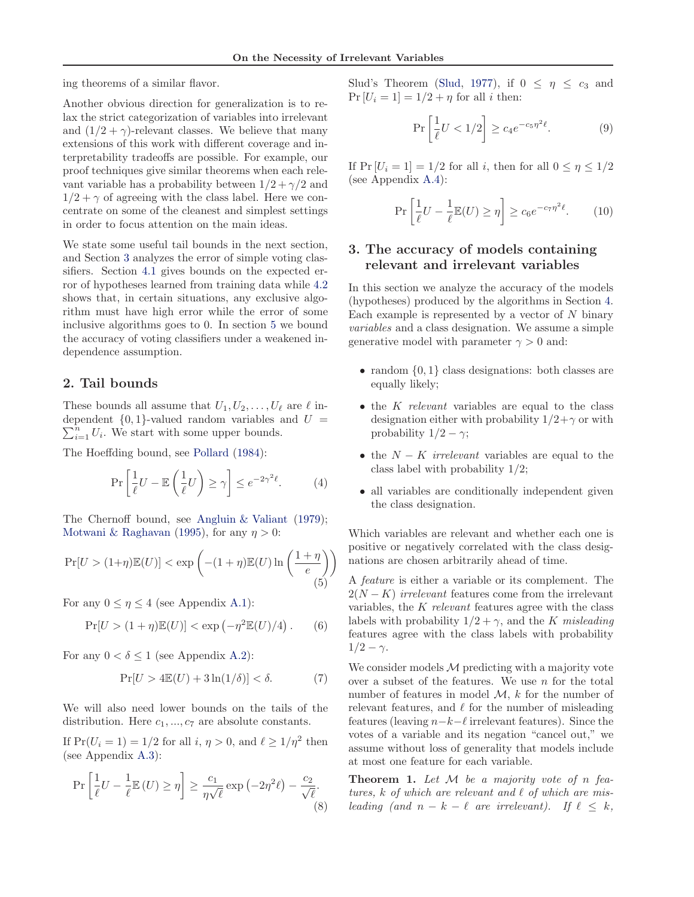<span id="page-3-0"></span>ing theorems of a similar flavor.

Another obvious direction for generalization is to relax the strict categorization of variables into irrelevant and  $(1/2 + \gamma)$ -relevant classes. We believe that many extensions of this work with different coverage and interpretability tradeoffs are possible. For example, our proof techniques give similar theorems when each relevant variable has a probability between  $1/2 + \gamma/2$  and  $1/2 + \gamma$  of agreeing with the class label. Here we concentrate on some of the cleanest and simplest settings in order to focus attention on the main ideas.

We state some useful tail bounds in the next section, and Section 3 analyzes the error of simple voting classifiers. Section [4.1](#page-4-0) gives bounds on the expected error of hypotheses learned from training data while [4.2](#page-5-0) shows that, in certain situations, any exclusive algorithm must have high error while the error of some inclusive algorithms goes to 0. In section [5](#page-6-0) we bound the accuracy of voting classifiers under a weakened independence assumption.

#### 2. Tail bounds

These bounds all assume that  $U_1, U_2, \ldots, U_\ell$  are  $\ell$  in- $\sum_{i=1}^{n} U_i$ . We start with some upper bounds. dependent  $\{0, 1\}$ -valued random variables and  $U =$ 

The Hoeffding bound, see [Pollard](#page-7-0) [\(1984](#page-7-0)):

$$
\Pr\left[\frac{1}{\ell}U - \mathbb{E}\left(\frac{1}{\ell}U\right) \ge \gamma\right] \le e^{-2\gamma^2 \ell}.\tag{4}
$$

The Chernoff bound, see [Angluin & Valiant](#page-6-0) [\(1979\)](#page-6-0); [Motwani & Raghavan](#page-7-0) [\(1995\)](#page-7-0), for any  $\eta > 0$ :

$$
\Pr[U > (1+\eta)\mathbb{E}(U)] < \exp\left(-(1+\eta)\mathbb{E}(U)\ln\left(\frac{1+\eta}{e}\right)\right) \tag{5}
$$

For any  $0 \leq \eta \leq 4$  (see Appendix [A.1\)](#page-7-0):

$$
\Pr[U > (1 + \eta)\mathbb{E}(U)] < \exp\left(-\eta^2 \mathbb{E}(U)/4\right). \tag{6}
$$

For any  $0 < \delta \leq 1$  (see Appendix [A.2\)](#page-7-0):

$$
\Pr[U > 4\mathbb{E}(U) + 3\ln(1/\delta)] < \delta. \tag{7}
$$

We will also need lower bounds on the tails of the distribution. Here  $c_1, ..., c_7$  are absolute constants.

If  $Pr(U_i = 1) = 1/2$  for all  $i, \eta > 0$ , and  $\ell \ge 1/\eta^2$  then (see Appendix [A.3\)](#page-7-0):

$$
\Pr\left[\frac{1}{\ell}U - \frac{1}{\ell}\mathbb{E}\left(U\right) \ge \eta\right] \ge \frac{c_1}{\eta\sqrt{\ell}} \exp\left(-2\eta^2\ell\right) - \frac{c_2}{\sqrt{\ell}}.\tag{8}
$$

Slud's Theorem [\(Slud,](#page-7-0) [1977\)](#page-7-0), if  $0 \leq \eta \leq c_3$  and  $Pr [U_i = 1] = 1/2 + \eta$  for all i then:

$$
\Pr\left[\frac{1}{\ell}U < 1/2\right] \ge c_4 e^{-c_5 \eta^2 \ell}.\tag{9}
$$

If  $Pr [U_i = 1] = 1/2$  for all i, then for all  $0 \le \eta \le 1/2$ (see Appendix [A.4\)](#page-7-0):

$$
\Pr\left[\frac{1}{\ell}U - \frac{1}{\ell}\mathbb{E}(U) \ge \eta\right] \ge c_6 e^{-c_7 \eta^2 \ell}.\tag{10}
$$

# 3. The accuracy of models containing relevant and irrelevant variables

In this section we analyze the accuracy of the models (hypotheses) produced by the algorithms in Section [4.](#page-4-0) Each example is represented by a vector of  $N$  binary *variables* and a class designation. We assume a simple generative model with parameter  $\gamma > 0$  and:

- random  $\{0, 1\}$  class designations: both classes are equally likely;
- the K *relevant* variables are equal to the class designation either with probability  $1/2 + \gamma$  or with probability  $1/2 - \gamma$ ;
- the N − K *irrelevant* variables are equal to the class label with probability 1/2;
- all variables are conditionally independent given the class designation.

Which variables are relevant and whether each one is positive or negatively correlated with the class designations are chosen arbitrarily ahead of time.

A *feature* is either a variable or its complement. The  $2(N - K)$  *irrelevant* features come from the irrelevant variables, the K *relevant* features agree with the class labels with probability  $1/2 + \gamma$ , and the K *misleading* features agree with the class labels with probability  $1/2 - \gamma$ .

We consider models  $M$  predicting with a majority vote over a subset of the features. We use  $n$  for the total number of features in model  $\mathcal{M}$ ,  $k$  for the number of relevant features, and  $\ell$  for the number of misleading features (leaving  $n-k-\ell$  irrelevant features). Since the votes of a variable and its negation "cancel out," we assume without loss of generality that models include at most one feature for each variable.

Theorem 1. *Let* M *be a majority vote of* n *features,* k *of which are relevant and* ℓ *of which are misleading (and n – k –*  $\ell$  *are irrelevant).* If  $\ell \leq k$ ,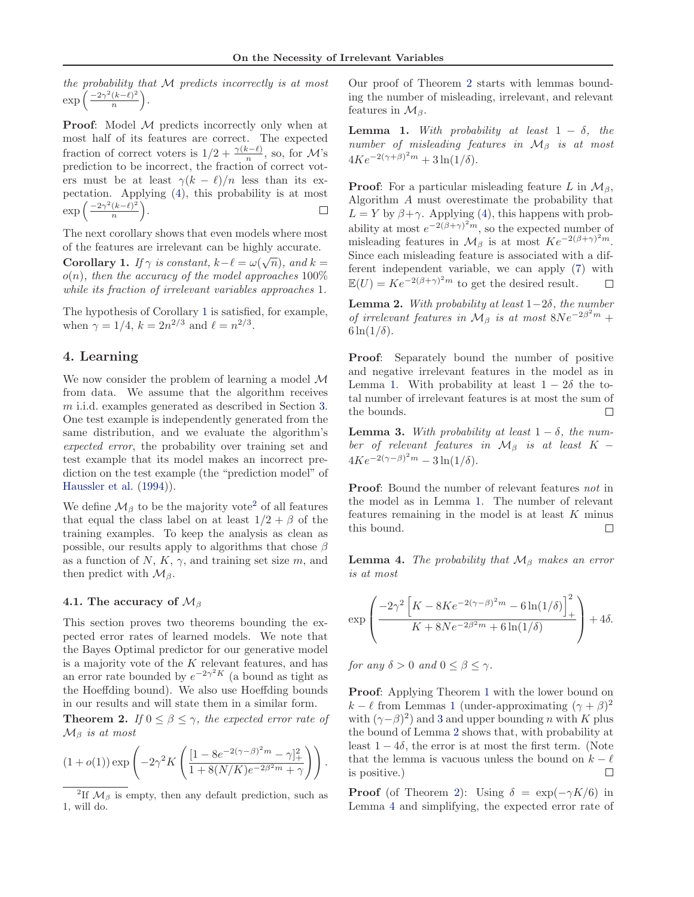<span id="page-4-0"></span>*the probability that* M *predicts incorrectly is at most*  $\exp\left(\frac{-2\gamma^2(k-\ell)^2}{n}\right)$  $\frac{(k-\ell)^2}{n}$ .

**Proof:** Model M predicts incorrectly only when at most half of its features are correct. The expected fraction of correct voters is  $1/2 + \frac{\gamma(k-\ell)}{n}$ , so, for M's prediction to be incorrect, the fraction of correct voters must be at least  $\gamma(k - \ell)/n$  less than its expectation. Applying [\(4\)](#page-3-0), this probability is at most  $\exp\left(\frac{-2\gamma^2(k-\ell)^2}{n}\right)$  $\frac{(k-\ell)^2}{n}$ .  $\Box$ 

The next corollary shows that even models where most of the features are irrelevant can be highly accurate. **Corollary 1.** *If*  $\gamma$  *is constant,*  $k - \ell = \omega(\sqrt{n})$ *, and*  $k = \infty$ o(n)*, then the accuracy of the model approaches* 100% *while its fraction of irrelevant variables approaches* 1*.*

The hypothesis of Corollary 1 is satisfied, for example, when  $\gamma = 1/4$ ,  $k = 2n^{2/3}$  and  $\ell = n^{2/3}$ .

# 4. Learning

We now consider the problem of learning a model M from data. We assume that the algorithm receives m i.i.d. examples generated as described in Section [3.](#page-3-0) One test example is independently generated from the same distribution, and we evaluate the algorithm's *expected error*, the probability over training set and test example that its model makes an incorrect prediction on the test example (the "prediction model" of [Haussler et al.](#page-6-0) [\(1994\)](#page-6-0)).

We define  $\mathcal{M}_{\beta}$  to be the majority vote<sup>2</sup> of all features that equal the class label on at least  $1/2 + \beta$  of the training examples. To keep the analysis as clean as possible, our results apply to algorithms that chose  $\beta$ as a function of  $N, K, \gamma$ , and training set size m, and then predict with  $\mathcal{M}_{\beta}$ .

#### 4.1. The accuracy of  $\mathcal{M}_{\beta}$

This section proves two theorems bounding the expected error rates of learned models. We note that the Bayes Optimal predictor for our generative model is a majority vote of the  $K$  relevant features, and has an error rate bounded by  $e^{-2\gamma^2 K}$  (a bound as tight as the Hoeffding bound). We also use Hoeffding bounds in our results and will state them in a similar form.

**Theorem 2.** *If*  $0 \le \beta \le \gamma$ *, the expected error rate of* M<sup>β</sup> *is at most*

$$
(1+o(1)) \exp \left(-2 \gamma^2 K \left(\frac{[1-8e^{-2 (\gamma-\beta)^2 m}-\gamma]_+^2}{1+8(N/K)e^{-2 \beta^2 m}+\gamma}\right)\right).
$$

Our proof of Theorem 2 starts with lemmas bounding the number of misleading, irrelevant, and relevant features in  $\mathcal{M}_{\beta}$ .

**Lemma 1.** *With probability at least*  $1 - \delta$ *, the number of misleading features in*  $M_β$  *is at most*  $4Ke^{-2(\gamma+\beta)^2m} + 3\ln(1/\delta).$ 

**Proof:** For a particular misleading feature L in  $\mathcal{M}_{\beta}$ , Algorithm A must overestimate the probability that  $L = Y$  by  $\beta + \gamma$ . Applying [\(4\)](#page-3-0), this happens with probability at most  $e^{-2(\beta+\gamma)^2 m}$ , so the expected number of misleading features in  $\mathcal{M}_{\beta}$  is at most  $Ke^{-2(\beta+\gamma)^2m}$ . Since each misleading feature is associated with a different independent variable, we can apply [\(7\)](#page-3-0) with  $\mathbb{E}(U) = Ke^{-2(\beta+\gamma)^2m}$  to get the desired result.  $\Box$ 

Lemma 2. *With probability at least* 1−2δ*, the number of irrelevant features in*  $M_\beta$  *is at most*  $8Ne^{-2\beta^2 m}$  +  $6\ln(1/\delta)$ .

Proof: Separately bound the number of positive and negative irrelevant features in the model as in Lemma 1. With probability at least  $1 - 2\delta$  the total number of irrelevant features is at most the sum of the bounds.  $\Box$ 

**Lemma 3.** With probability at least  $1 - \delta$ , the num*ber of relevant features in*  $M_β$  *is at least* K −  $4Ke^{-2(\gamma-\beta)^2 m} - 3\ln(1/\delta).$ 

Proof: Bound the number of relevant features *not* in the model as in Lemma 1. The number of relevant features remaining in the model is at least  $K$  minus this bound.  $\Box$ 

**Lemma 4.** *The probability that*  $M_\beta$  *makes an error is at most*

$$
\exp\left(\frac{-2\gamma^2 \left[K - 8Ke^{-2(\gamma - \beta)^2 m} - 6\ln(1/\delta)\right]_+^2}{K + 8Ne^{-2\beta^2 m} + 6\ln(1/\delta)}\right) + 4\delta.
$$

*for any*  $\delta > 0$  *and*  $0 \leq \beta \leq \gamma$ *.* 

Proof: Applying Theorem [1](#page-3-0) with the lower bound on  $k - \ell$  from Lemmas 1 (under-approximating  $(\gamma + \beta)^2$ with  $(\gamma - \beta)^2$  and 3 and upper bounding *n* with K plus the bound of Lemma 2 shows that, with probability at least  $1 - 4\delta$ , the error is at most the first term. (Note that the lemma is vacuous unless the bound on  $k - \ell$  is positive.) is positive.)

**Proof** (of Theorem 2): Using  $\delta = \exp(-\gamma K/6)$  in Lemma 4 and simplifying, the expected error rate of

<sup>&</sup>lt;sup>2</sup>If  $\mathcal{M}_{\beta}$  is empty, then any default prediction, such as 1, will do.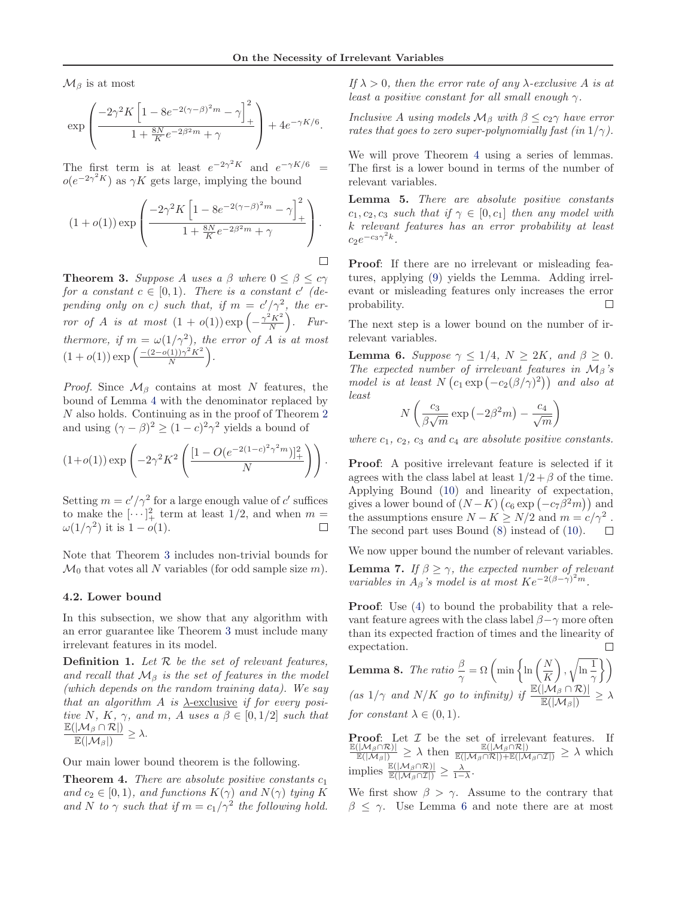<span id="page-5-0"></span> $\mathcal{M}_{\beta}$  is at most

$$
\exp\left(\frac{-2\gamma^2 K \left[1 - 8e^{-2(\gamma - \beta)^2 m} - \gamma\right]_+^2}{1 + \frac{8N}{K}e^{-2\beta^2 m} + \gamma}\right) + 4e^{-\gamma K/6}.
$$

The first term is at least  $e^{-2\gamma^2 K}$  and  $e^{-\gamma K/6}$  =  $o(e^{-2\gamma^2 K})$  as  $\gamma K$  gets large, implying the bound

$$
(1+o(1)) \exp\left(\frac{-2\gamma^2 K \left[1-8e^{-2(\gamma-\beta)^2 m}-\gamma\right]_+^2}{1+\frac{8N}{K}e^{-2\beta^2 m}+\gamma}\right).
$$

**Theorem 3.** *Suppose* A *uses* a  $\beta$  *where*  $0 \leq \beta \leq c\gamma$ *for a constant*  $c \in [0, 1)$ *. There is a constant*  $c'$  (de*pending only on c)* such that, if  $m = c'/\gamma^2$ , the er*ror of A is at most*  $(1 + o(1)) \exp\left(-\frac{\gamma^2 K^2}{N}\right)$ *. Furthermore, if*  $m = \omega(1/\gamma^2)$ *, the error of* A *is at most*  $(1+o(1)) \exp \left( \frac{-(2-o(1))\gamma^2 K^2}{N} \right)$  $\frac{(1))\gamma^2 K^2}{N}$ .

*Proof.* Since  $\mathcal{M}_{\beta}$  contains at most N features, the bound of Lemma [4](#page-4-0) with the denominator replaced by N also holds. Continuing as in the proof of Theorem [2](#page-4-0) and using  $(\gamma - \beta)^2 \ge (1 - c)^2 \gamma^2$  yields a bound of

$$
(1+o(1)) \exp\left(-2\gamma^2 K^2 \left(\frac{[1-O(e^{-2(1-c)^2\gamma^2 m})]_+^2}{N}\right)\right).
$$

Setting  $m = c'/\gamma^2$  for a large enough value of c' suffices to make the  $[\cdots]_+^2$  term at least 1/2, and when  $m =$  $\omega(1/\gamma^2)$  it is  $1-o(1)$ .

Note that Theorem 3 includes non-trivial bounds for  $\mathcal{M}_0$  that votes all N variables (for odd sample size m).

#### 4.2. Lower bound

In this subsection, we show that any algorithm with an error guarantee like Theorem 3 must include many irrelevant features in its model.

Definition 1. *Let* R *be the set of relevant features, and recall that*  $\mathcal{M}_{\beta}$  *is the set of features in the model (which depends on the random training data). We say that an algorithm* A *is* λ-exclusive *if for every positive* N, K,  $\gamma$ , and m, A uses a  $\beta \in [0, 1/2]$  *such that*  $\mathbb{E}(|\mathcal{M}_\beta \cap \mathcal{R}|)$  $\frac{\mathbb{E}(|\mathcal{M}_{\beta}|)}{\mathbb{E}(|\mathcal{M}_{\beta}|)} \geq \lambda.$ 

Our main lower bound theorem is the following.

Theorem 4. *There are absolute positive constants* c<sup>1</sup> and  $c_2 \in [0, 1)$ *, and functions*  $K(\gamma)$  *and*  $N(\gamma)$  *tying* K and N to  $\gamma$  such that if  $m = c_1/\gamma^2$  the following hold. *If*  $\lambda > 0$ *, then the error rate of any*  $\lambda$ -exclusive A *is at least a positive constant for all small enough* γ*.*

*Inclusive* A *using models*  $\mathcal{M}_{\beta}$  *with*  $\beta \leq c_2 \gamma$  *have error rates that goes to zero super-polynomially fast (in*  $1/\gamma$ ).

We will prove Theorem 4 using a series of lemmas. The first is a lower bound in terms of the number of relevant variables.

Lemma 5. *There are absolute positive constants*  $c_1, c_2, c_3$  *such that if*  $\gamma \in [0, c_1]$  *then any model with* k *relevant features has an error probability at least*  $c_2 e^{-c_3 \gamma^2 k}$ .

Proof: If there are no irrelevant or misleading features, applying [\(9\)](#page-3-0) yields the Lemma. Adding irrelevant or misleading features only increases the error probability. П

The next step is a lower bound on the number of irrelevant variables.

**Lemma 6.** *Suppose*  $\gamma \leq 1/4$ ,  $N \geq 2K$ , and  $\beta \geq 0$ . *The expected number of irrelevant features in*  $M_\beta$ 's *model is at least*  $N(c_1 \exp(-c_2(\beta/\gamma)^2))$  *and also at least*

$$
N\left(\frac{c_3}{\beta\sqrt{m}}\exp\left(-2\beta^2m\right)-\frac{c_4}{\sqrt{m}}\right)
$$

*where*  $c_1$ ,  $c_2$ ,  $c_3$  *and*  $c_4$  *are absolute positive constants.* 

Proof: A positive irrelevant feature is selected if it agrees with the class label at least  $1/2 + \beta$  of the time. Applying Bound [\(10\)](#page-3-0) and linearity of expectation, gives a lower bound of  $(N-K)$   $(c_6 \exp(-c_7\beta^2 m))$  and the assumptions ensure  $N - K \ge N/2$  and  $m = c/\gamma^2$ . The second part uses Bound [\(8\)](#page-3-0) instead of [\(10\)](#page-3-0).

We now upper bound the number of relevant variables.

**Lemma 7.** *If*  $\beta \geq \gamma$ *, the expected number of relevant variables in*  $A_\beta$ 's model is at most  $Ke^{-2(\beta-\gamma)^2m}$ .

**Proof:** Use [\(4\)](#page-3-0) to bound the probability that a relevant feature agrees with the class label  $\beta - \gamma$  more often than its expected fraction of times and the linearity of  $\Box$ expectation.

**Lemma 8.** The ratio 
$$
\frac{\beta}{\gamma} = \Omega \left( \min \left\{ \ln \left( \frac{N}{K} \right), \sqrt{\ln \frac{1}{\gamma}} \right\} \right)
$$
  
(as  $1/\gamma$  and  $N/K$  go to infinity) if  $\frac{\mathbb{E}(|\mathcal{M}_{\beta} \cap \mathcal{R})|}{\mathbb{E}(|\mathcal{M}_{\beta}|)} \ge \lambda$   
for constant  $\lambda \in (0, 1)$ .

**Proof:** Let  $\mathcal{I}$  be the set of irrelevant features. If  $\frac{\mathbb{E}(|\mathcal{M}_{\beta} \cap \mathcal{R}|)}{\mathbb{E}(|\mathcal{M}_{\beta}|)} \geq \lambda$  then  $\frac{\mathbb{E}(|\mathcal{M}_{\beta} \cap \mathcal{R}|)}{\mathbb{E}(|\mathcal{M}_{\beta} \cap \mathcal{R}|)+\mathbb{E}(|\mathcal{M}_{\beta} \cap \mathcal{I}|)} \geq \lambda$  which implies  $\frac{\mathbb{E}(|\mathcal{M}_{\beta} \cap \mathcal{R})|}{\mathbb{E}(|\mathcal{M}_{\beta} \cap \mathcal{I}|)} \geq \frac{\lambda}{1-\lambda}.$ 

We first show  $\beta > \gamma$ . Assume to the contrary that  $\beta \leq \gamma$ . Use Lemma 6 and note there are at most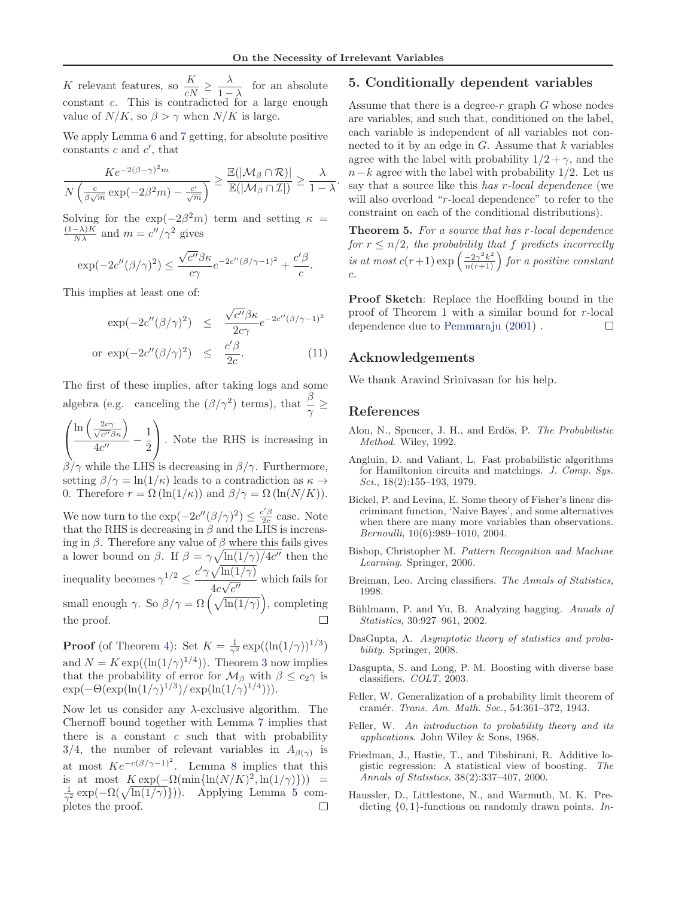<span id="page-6-0"></span>K relevant features, so  $\frac{K}{cN} \geq \frac{\lambda}{1-\lambda}$  $\frac{\lambda}{1-\lambda}$  for an absolute constant c. This is contradicted for a large enough value of  $N/K$ , so  $\beta > \gamma$  when  $N/K$  is large.

We apply Lemma [6](#page-5-0) and [7](#page-5-0) getting, for absolute positive constants  $c$  and  $c'$ , that

$$
\frac{Ke^{-2(\beta-\gamma)^2m}}{N\left(\frac{c}{\beta\sqrt{m}}\exp(-2\beta^2m)-\frac{c'}{\sqrt{m}}\right)}\geq \frac{\mathbb{E}(|\mathcal{M}_{\beta}\cap\mathcal{R})|}{\mathbb{E}(|\mathcal{M}_{\beta}\cap\mathcal{I}|)}\geq \frac{\lambda}{1-\lambda}.
$$

Solving for the  $\exp(-2\beta^2 m)$  term and setting  $\kappa =$  $\frac{(1-\lambda)K}{N\lambda}$  and  $m = c''/\gamma^2$  gives

$$
\exp(-2c''(\beta/\gamma)^2) \le \frac{\sqrt{c''}\beta\kappa}{c\gamma}e^{-2c''(\beta/\gamma-1)^2} + \frac{c'\beta}{c}.
$$

This implies at least one of:

$$
\exp(-2c''(\beta/\gamma)^2) \leq \frac{\sqrt{c''}\beta\kappa}{2c\gamma}e^{-2c''(\beta/\gamma-1)^2}
$$
  
or 
$$
\exp(-2c''(\beta/\gamma)^2) \leq \frac{c'\beta}{2c}.
$$
 (11)

The first of these implies, after taking logs and some algebra (e.g. canceling the  $(\beta/\gamma^2)$  terms), that  $\frac{\beta}{\gamma} \geq$ 

 $\sqrt{ }$  $\mathcal{L}$  $\ln\left(\frac{2c\gamma}{\sqrt{gl/s}}\right)$  $\frac{2c\gamma}{c^{\prime\prime}\beta\kappa}$  $\frac{1}{4c^{\prime\prime}}$  – 1 2  $\setminus$ . Note the RHS is increasing in

 $\beta/\gamma$  while the LHS is decreasing in  $\beta/\gamma$ . Furthermore, setting  $\beta/\gamma = \ln(1/\kappa)$  leads to a contradiction as  $\kappa \to$ 0. Therefore  $r = \Omega(\ln(1/\kappa))$  and  $\beta/\gamma = \Omega(\ln(N/K)).$ 

We now turn to the  $\exp(-2c''(\beta/\gamma)^2) \leq \frac{c'\beta}{2c}$  case. Note that the RHS is decreasing in  $\beta$  and the LHS is increasing in  $\beta$ . Therefore any value of  $\beta$  where this fails gives a lower bound on  $\beta$ . If  $\beta = \gamma \sqrt{\ln(1/\gamma)/4c''}$  then the inequality becomes  $\gamma^{1/2} \leq \frac{c' \gamma \sqrt{\ln(1/\gamma)}}{4c \sqrt{c''}}$  $\frac{\sqrt{4c\sqrt{c''}}}{4c\sqrt{c''}}$  which fails for small enough  $\gamma$ . So  $\beta/\gamma = \Omega\left(\sqrt{\ln(1/\gamma)}\right)$ , completing the proof.  $\Box$ 

**Proof** (of Theorem [4\)](#page-5-0): Set  $K = \frac{1}{\gamma^2} \exp((\ln(1/\gamma))^{1/3})$ and  $N = K \exp((\ln(1/\gamma)^{1/4}))$ . Theorem [3](#page-5-0) now implies that the probability of error for  $M_\beta$  with  $\beta \leq c_2 \gamma$  is  $\exp(-\Theta(\exp(\ln(1/\gamma)^{1/3})/\exp(\ln(1/\gamma)^{1/4}))).$ 

Now let us consider any  $\lambda$ -exclusive algorithm. The Chernoff bound together with Lemma [7](#page-5-0) implies that there is a constant  $c$  such that with probability 3/4, the number of relevant variables in  $A_{\beta(\gamma)}$  is at most  $Ke^{-c(\beta/\gamma-1)^2}$ . Lemma [8](#page-5-0) implies that this is at most  $K \exp(-\Omega(\min{\ln(N/K)^2}, \ln(1/\gamma)) ) =$  $\frac{1}{\gamma^2}$  exp( $-\Omega(\sqrt{\ln(1/\gamma)})$ ). Applying Lemma [5](#page-5-0) completes the proof.

## 5. Conditionally dependent variables

Assume that there is a degree- $r$  graph  $G$  whose nodes are variables, and such that, conditioned on the label, each variable is independent of all variables not connected to it by an edge in  $G$ . Assume that  $k$  variables agree with the label with probability  $1/2 + \gamma$ , and the  $n-k$  agree with the label with probability 1/2. Let us say that a source like this *has* r*-local dependence* (we will also overload "r-local dependence" to refer to the constraint on each of the conditional distributions).

Theorem 5. *For a source that has* r*-local dependence for*  $r \leq n/2$ *, the probability that f predicts incorrectly is at most*  $c(r+1) \exp\left(\frac{-2\gamma^2 k^2}{n(r+1)}\right)$  *for a positive constant* c*.*

Proof Sketch: Replace the Hoeffding bound in the proof of Theorem [1](#page-3-0) with a similar bound for r-local dependence due to [Pemmaraju](#page-7-0) [\(2001](#page-7-0)) .  $\Box$ 

#### Acknowledgements

We thank Aravind Srinivasan for his help.

#### References

- Alon, N., Spencer, J. H., and Erdös, P. The Probabilistic Method. Wiley, 1992.
- Angluin, D. and Valiant, L. Fast probabilistic algorithms for Hamiltonion circuits and matchings. J. Comp. Sys. Sci., 18(2):155-193, 1979.
- Bickel, P. and Levina, E. Some theory of Fisher's linear discriminant function, 'Naive Bayes', and some alternatives when there are many more variables than observations. Bernoulli, 10(6):989–1010, 2004.
- Bishop, Christopher M. Pattern Recognition and Machine Learning. Springer, 2006.
- Breiman, Leo. Arcing classifiers. The Annals of Statistics, 1998.
- Bühlmann, P. and Yu, B. Analyzing bagging. Annals of Statistics, 30:927–961, 2002.
- DasGupta, A. Asymptotic theory of statistics and probability. Springer, 2008.
- Dasgupta, S. and Long, P. M. Boosting with diverse base classifiers. COLT, 2003.
- Feller, W. Generalization of a probability limit theorem of cramér. Trans. Am. Math. Soc., 54:361-372, 1943.
- Feller, W. An introduction to probability theory and its applications. John Wiley & Sons, 1968.
- Friedman, J., Hastie, T., and Tibshirani, R. Additive logistic regression: A statistical view of boosting. The Annals of Statistics, 38(2):337–407, 2000.
- Haussler, D., Littlestone, N., and Warmuth, M. K. Predicting  $\{0, 1\}$ -functions on randomly drawn points. In-